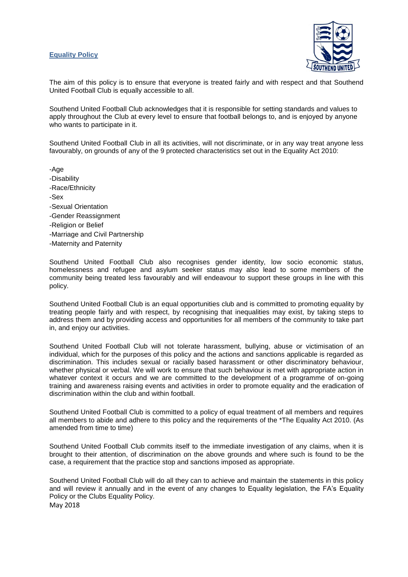## **Equality Policy**



The aim of this policy is to ensure that everyone is treated fairly and with respect and that Southend United Football Club is equally accessible to all.

Southend United Football Club acknowledges that it is responsible for setting standards and values to apply throughout the Club at every level to ensure that football belongs to, and is enjoyed by anyone who wants to participate in it.

Southend United Football Club in all its activities, will not discriminate, or in any way treat anyone less favourably, on grounds of any of the 9 protected characteristics set out in the Equality Act 2010:

-Age

- -Disability
- -Race/Ethnicity
- -Sex
- -Sexual Orientation
- -Gender Reassignment
- -Religion or Belief
- -Marriage and Civil Partnership
- -Maternity and Paternity

Southend United Football Club also recognises gender identity, low socio economic status, homelessness and refugee and asylum seeker status may also lead to some members of the community being treated less favourably and will endeavour to support these groups in line with this policy.

Southend United Football Club is an equal opportunities club and is committed to promoting equality by treating people fairly and with respect, by recognising that inequalities may exist, by taking steps to address them and by providing access and opportunities for all members of the community to take part in, and enjoy our activities.

Southend United Football Club will not tolerate harassment, bullying, abuse or victimisation of an individual, which for the purposes of this policy and the actions and sanctions applicable is regarded as discrimination. This includes sexual or racially based harassment or other discriminatory behaviour, whether physical or verbal. We will work to ensure that such behaviour is met with appropriate action in whatever context it occurs and we are committed to the development of a programme of on-going training and awareness raising events and activities in order to promote equality and the eradication of discrimination within the club and within football.

Southend United Football Club is committed to a policy of equal treatment of all members and requires all members to abide and adhere to this policy and the requirements of the \*The Equality Act 2010. (As amended from time to time)

Southend United Football Club commits itself to the immediate investigation of any claims, when it is brought to their attention, of discrimination on the above grounds and where such is found to be the case, a requirement that the practice stop and sanctions imposed as appropriate.

May 2018 Southend United Football Club will do all they can to achieve and maintain the statements in this policy and will review it annually and in the event of any changes to Equality legislation, the FA's Equality Policy or the Clubs Equality Policy.